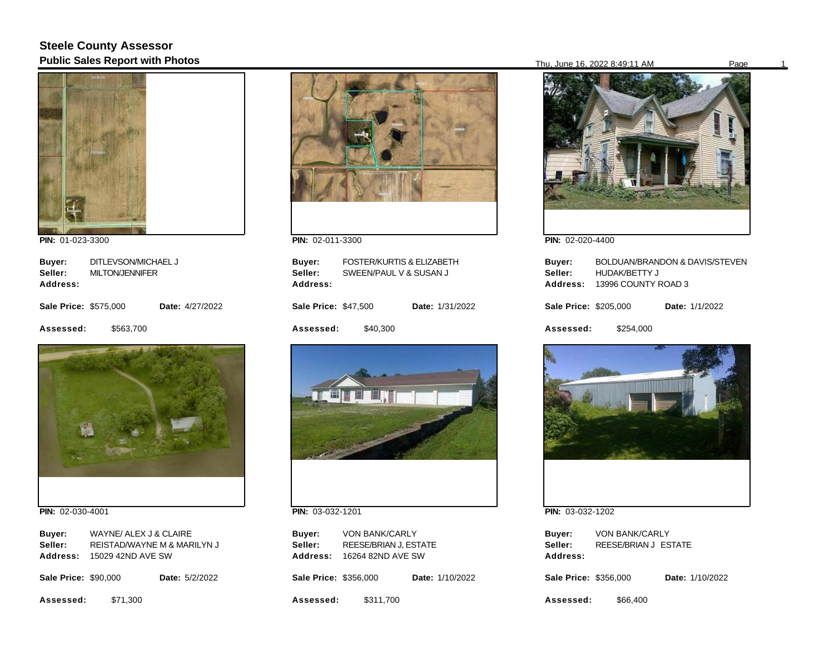## **Steele County Assessor Public Sales Report with Photos** Page 10 Page 10 Page 10 Page 10 Page 10 Page 16, 2022 8:49:11 AM Page 16, 2022 8:49:11 AM



**PIN:**  01-023-3300

| Buyer:                       | DITLEVSON/MICHAEL J    |                 |  |
|------------------------------|------------------------|-----------------|--|
| Seller:                      | <b>MILTON/JENNIFER</b> |                 |  |
| Address:                     |                        |                 |  |
| <b>Sale Price: \$575,000</b> |                        | Date: 4/27/2022 |  |
| Assessed:                    | \$563.700              |                 |  |



**PIN:**  02-030-4001

| Buyer:<br>Seller:<br>Address: | WAYNE/ ALEX J & CLAIRE<br>REISTAD/WAYNE M & MARILYN J<br>15029 42ND AVE SW |                       |
|-------------------------------|----------------------------------------------------------------------------|-----------------------|
| <b>Sale Price: \$90,000</b>   |                                                                            | <b>Date: 5/2/2022</b> |

**Assessed:**  \$71,300



**PIN:**  02-011-3300

| Buyer:<br>Seller:<br>Address: | <b>FOSTER/KURTIS &amp; ELIZABETH</b><br>SWEEN/PAUL V & SUSAN J |                 |
|-------------------------------|----------------------------------------------------------------|-----------------|
| <b>Sale Price: \$47,500</b>   |                                                                | Date: 1/31/2022 |
| Assessed:                     | \$40,300                                                       |                 |
|                               |                                                                |                 |

**PIN:**  03-032-1201

| Buyer:   | <b>VON BANK/CARLY</b> |
|----------|-----------------------|
| Seller:  | REESE/BRIAN J. ESTATE |
| Address: | 16264 82ND AVE SW     |

**Sale Price: \$356,000** Date: 1/10/2022

**Assessed:**  \$311,700



**PIN:**  02-020-4400

| Buyer:                | BOLDUAN/BRANDON & DAVIS/STEVEN |                       |  |
|-----------------------|--------------------------------|-----------------------|--|
| Seller:               | <b>HUDAK/BETTY J</b>           |                       |  |
| Address:              | 13996 COUNTY ROAD 3            |                       |  |
| Sale Price: \$205,000 |                                | <b>Date: 1/1/2022</b> |  |
| Assessed:             | \$254.000                      |                       |  |



**PIN:**  03-032-1202

| Buver:   | <b>VON BANK/CARLY</b> |  |
|----------|-----------------------|--|
| Seller:  | REESE/BRIAN J ESTATE  |  |
| Address: |                       |  |

**Sale Price: \$356,000** Date: 1/10/2022

**Assessed:**  \$66,400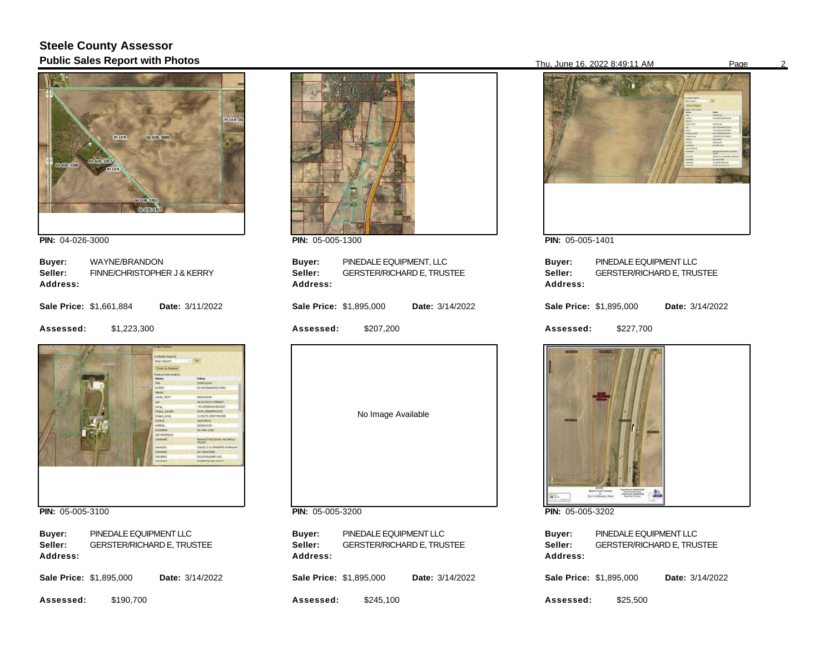## **Steele County Assessor Public Sales Report with Photos** Page 2022 8:49:11 AM Page 2022 8:49:11 AM Page 2022 8:49:11 AM Page



**PIN:**  04-026-3000

| Buver:   | WAYNE/BRANDON               |
|----------|-----------------------------|
| Seller:  | FINNE/CHRISTOPHER J & KERRY |
| Address: |                             |

|  | <b>Sale Price: \$1,661,884</b> |  |  | <b>Date: 3/11/2022</b> |
|--|--------------------------------|--|--|------------------------|
|--|--------------------------------|--|--|------------------------|

**Assessed:**  \$1,223,300



**PIN:**  05-005-3100

**Buyer: Address:**  PINEDALE EQUIPMENT LLC **Seller:** GERSTER/RICHARD E, TRUSTEE

**Sale Price: \$1,895,000** Date: 3/14/2022

**Assessed:**  \$190,700



**PIN:**  05-005-1300

| Buyer:<br>Seller:<br>Address: | PINEDALE EQUIPMENT, LLC<br><b>GERSTER/RICHARD E, TRUSTEE</b> |                        |
|-------------------------------|--------------------------------------------------------------|------------------------|
| Sale Price: \$1,895,000       |                                                              | <b>Date: 3/14/2022</b> |
| <b>Assessed:</b>              | \$207,200                                                    |                        |
|                               |                                                              |                        |

No Image Available

**PIN:**  05-005-3200

**Buyer: Address:**  PINEDALE EQUIPMENT LLC **Seller:** GERSTER/RICHARD E, TRUSTEE

**Sale Price: \$1,895,000** Date: 3/14/2022

**Assessed:**  \$245,100



**PIN:**  05-005-1401

| Buyer:<br>Seller:<br>Address:  | PINEDALE EQUIPMENT LLC<br><b>GERSTER/RICHARD E, TRUSTEE</b> |  |                 |
|--------------------------------|-------------------------------------------------------------|--|-----------------|
| <b>Sale Price: \$1,895,000</b> |                                                             |  | Date: 3/14/2022 |
| Assessed:                      | \$227,700                                                   |  |                 |



**PIN:**  05-005-3202

| Buyer:   | PINEDALE EQUIPMENT LLC            |
|----------|-----------------------------------|
| Seller:  | <b>GERSTER/RICHARD E. TRUSTEE</b> |
| Address: |                                   |
|          |                                   |

**Sale Price: \$1,895,000** Date: 3/14/2022

**Assessed:**  \$25,500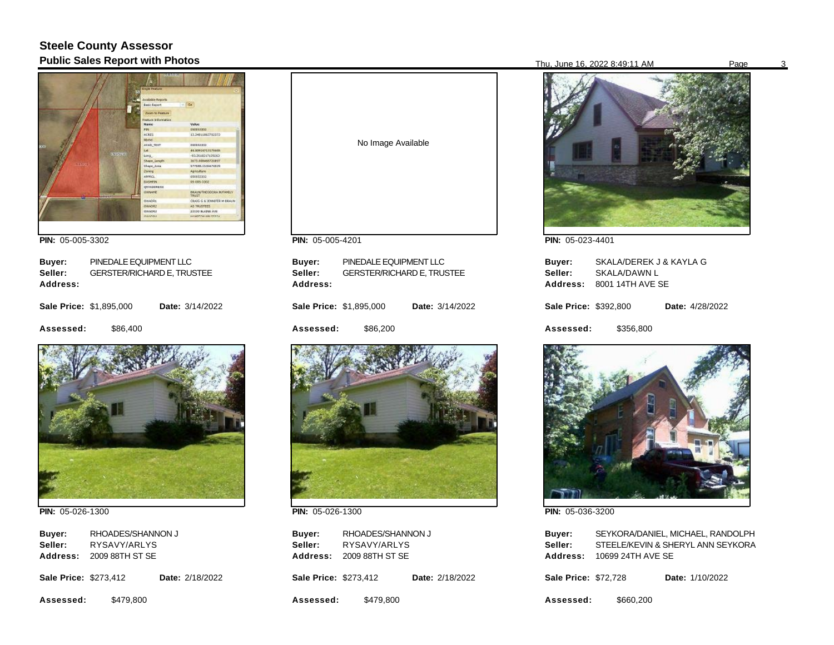## **Steele County Assessor Public Sales Report with Photos** Page 31 Page 31 Page 31 Page 31 Page 31 Page 322 8:49:11 AM Page 36, 2022 8:49:11 AM Page

|                 | <b>Single Feature</b>      |                                          |
|-----------------|----------------------------|------------------------------------------|
|                 | <b>Considered Magazine</b> |                                          |
|                 | Basic Report               |                                          |
|                 | Zeon to Festure            |                                          |
|                 | Feature Information        |                                          |
|                 | <b>Have</b>                | Value                                    |
|                 | PDV:                       | DAGEA3302                                |
|                 | ACRES.                     | 13.3461863702223                         |
|                 | <b>Montes</b>              |                                          |
|                 | ADAD TEST                  | 100803-012                               |
|                 | Lat.                       | 44.00904713178408                        |
|                 | 301000000<br>Long          | 49.2618217139263                         |
|                 | Shape Length               | 3673.998466720897                        |
| 2100.           | Shape Avea                 | S77068, 15:06674029                      |
|                 | Zoning                     | <b>Astoukers</b>                         |
|                 | ARPACE.                    | 050653302                                |
|                 | <b>DASHISS</b>             | 65 085 3502                              |
|                 | <b>OVYADORERS</b>          |                                          |
| <b>GREETERS</b> | OWNAME                     | <b>BRAUN/THOODGRA MATAMELY</b><br>TRUST. |
|                 | 09/4091                    | CRAIG G & JEMMETER M DRAUM-              |
|                 | 09/40/02                   | AS TRUSTEES                              |
|                 | <b>DWADES</b>              | 20120 BLADES JUST                        |
|                 | <b>CARADOR</b>             | <b>ELEMENTAR HALFOUR TV</b>              |

**PIN:**  05-005-3302

| Buyer:                         | PINEDALE EQUIPMENT LLC            |                 |  |
|--------------------------------|-----------------------------------|-----------------|--|
| Seller:                        | <b>GERSTER/RICHARD E, TRUSTEE</b> |                 |  |
| Address:                       |                                   |                 |  |
| <b>Sale Price: \$1,895,000</b> |                                   | Date: 3/14/2022 |  |
| Assessed:                      | \$86.400                          |                 |  |



**PIN:**  05-026-1300

**Buyer: Address:**  2009 88TH ST SE RHOADES/SHANNON J **Seller:** RYSAVY/ARLYS

**Sale Price: \$273,412** Date: 2/18/2022

**Assessed:**  \$479,800



**PIN:**  05-005-4201

| Buyer:<br>Seller:<br><b>Address:</b> | PINEDALE EQUIPMENT LLC<br><b>GERSTER/RICHARD E, TRUSTEE</b> |                 |  |
|--------------------------------------|-------------------------------------------------------------|-----------------|--|
| Sale Price: \$1,895,000              |                                                             | Date: 3/14/2022 |  |
| <b>Assessed:</b>                     | \$86.200                                                    |                 |  |



**PIN:**  05-026-1300

**Buyer: Address:**  2009 88TH ST SE RHOADES/SHANNON J **Seller:** RYSAVY/ARLYS

**Sale Price: \$273,412** Date: 2/18/2022

**Assessed:**  \$479,800



**PIN:**  05-023-4401

| Buyer:<br>Seller:     | SKALA/DEREK J & KAYLA G<br>SKALA/DAWN L<br>Address: 8001 14TH AVE SE |                        |
|-----------------------|----------------------------------------------------------------------|------------------------|
| Sale Price: \$392,800 |                                                                      | <b>Date:</b> 4/28/2022 |
| Assessed:             | \$356.800                                                            |                        |



**PIN:**  05-036-3200

| Buyer:          | SEYKORA/DANIEL, MICHAEL, RANDOLPH |
|-----------------|-----------------------------------|
| Seller:         | STEELE/KEVIN & SHERYL ANN SEYKORA |
| <b>Address:</b> | 10699 24TH AVE SE                 |

**Sale Price: \$72,728** Date: 1/10/2022

**Assessed:**  \$660,200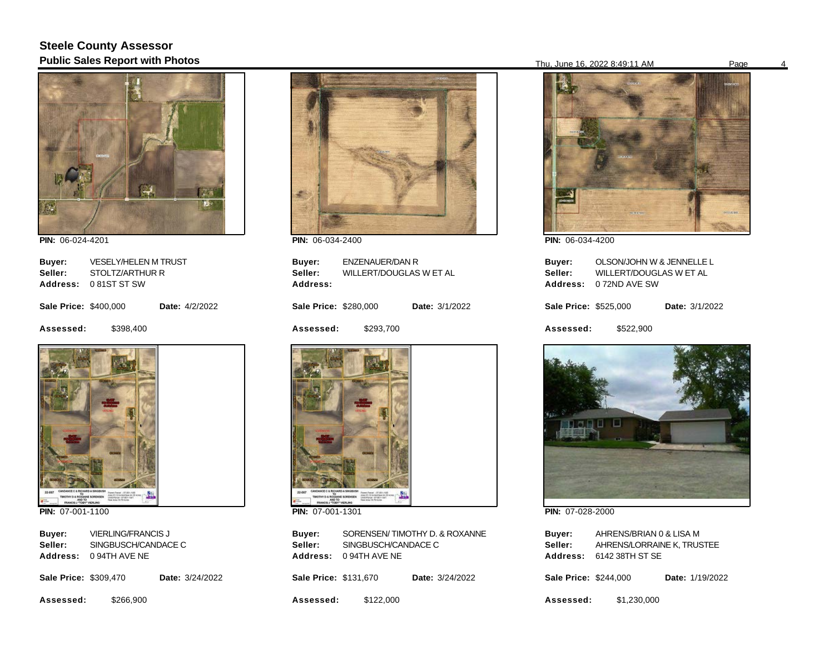## **Steele County Assessor Public Sales Report with Photos** Page 16, 2022 8:49:11 AM Page 46, 2022 8:49:11 AM Page



**PIN:**  06-024-4201

| Buyer:                       | <b>VESELY/HELEN M TRUST</b> |                       |  |
|------------------------------|-----------------------------|-----------------------|--|
| Seller:                      | STOLTZ/ARTHUR R             |                       |  |
| <b>Address:</b>              | 081ST ST SW                 |                       |  |
| <b>Sale Price: \$400,000</b> |                             | <b>Date:</b> 4/2/2022 |  |
| Assessed:                    | \$398.400                   |                       |  |



**PIN:**  07-001-1100

| Buyer:   | <b>VIERLING/FRANCIS J</b> |
|----------|---------------------------|
| Seller:  | SINGBUSCH/CANDACE C       |
| Address: | 0 94TH AVE NE             |

| <b>Sale Price: \$309,470</b> |  | Date: 3/24/2022 |
|------------------------------|--|-----------------|
|                              |  |                 |

**Assessed:**  \$266,900



**PIN:**  06-034-2400

**Sale Price: \$280,000 Assessed: Buyer: Address:**  ENZENAUER/DAN R Date: 3/1/2022 \$293,700 **Seller:** WILLERT/DOUGLAS W ET AL



**PIN:**  07-001-1301

**Buyer: Address:**  0 94TH AVE NE SORENSEN/ TIMOTHY D. & ROXANNE **Seller:** SINGBUSCH/CANDACE C

**Sale Price: \$131,670** Date: 3/24/2022

**Assessed:**  \$122,000



**PIN:**  06-034-4200

| Buyer:<br>Seller:<br>Address: | OLSON/JOHN W & JENNELLE L<br>WILLERT/DOUGLAS W ET AL<br>0 72ND AVE SW |                       |
|-------------------------------|-----------------------------------------------------------------------|-----------------------|
| Sale Price: \$525,000         |                                                                       | <b>Date: 3/1/2022</b> |
| Assessed:                     | \$522.900                                                             |                       |



**PIN:**  07-028-2000

| Buver:   | AHRENS/BRIAN 0 & LISA M    |
|----------|----------------------------|
| Seller:  | AHRENS/LORRAINE K. TRUSTEE |
| Address: | 6142 38TH ST SE            |
|          |                            |

| <b>Sale Price: \$244,000</b> |  |  | Date: 1/19/2022 |
|------------------------------|--|--|-----------------|
|------------------------------|--|--|-----------------|

**Assessed:**  \$1,230,000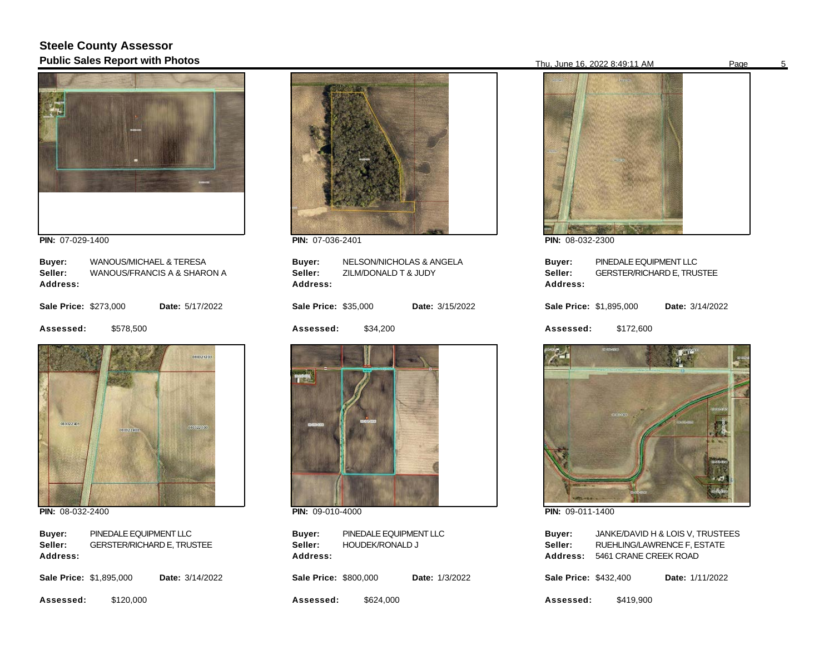## **Steele County Assessor Public Sales Report with Photos** Page 10. Public Sales Report with Photos Page 5. 2022 8:49:11 AM Page 5. 2022 8:49:11 AM Page 5. 2022 8:49:11 AM Page 5. 2022 8:49:11 AM Page 5. 2022 8:49:11 AM Page 5. 2022 8:49:11 AM Pag



**PIN:**  07-029-1400

| Buyer:                       | WANOUS/MICHAEL & TERESA     |                 |  |
|------------------------------|-----------------------------|-----------------|--|
| Seller:                      | WANOUS/FRANCIS A & SHARON A |                 |  |
| Address:                     |                             |                 |  |
|                              |                             |                 |  |
| <b>Sale Price: \$273,000</b> |                             | Date: 5/17/2022 |  |
|                              |                             |                 |  |
| Assessed:                    | \$578,500                   |                 |  |
|                              |                             |                 |  |
|                              |                             | 080321203       |  |
|                              |                             |                 |  |
|                              |                             |                 |  |



**PIN:**  08-032-2400

**Buyer: Address:**  PINEDALE EQUIPMENT LLC **Seller:** GERSTER/RICHARD E, TRUSTEE

| <b>Sale Price: \$1,895,000</b> |           | <b>Date: 3/14/2022</b> |  |
|--------------------------------|-----------|------------------------|--|
| Assessed:                      | \$120,000 |                        |  |



**PIN:**  07-036-2401

| Buyer:<br>Address:          | NELSON/NICHOLAS & ANGELA<br>Seller: ZILM/DONALD T & JUDY |                 |
|-----------------------------|----------------------------------------------------------|-----------------|
| <b>Sale Price: \$35,000</b> |                                                          | Date: 3/15/2022 |
| <b>Assessed:</b>            | \$34,200                                                 |                 |
| <b>MITMEDIA</b>             | GOGE                                                     |                 |

**PIN:**  09-010-4000

**Buyer: Address:**  PINEDALE EQUIPMENT LLC **Seller:** HOUDEK/RONALD J

**Sale Price: \$800,000** Date: 1/3/2022

**Assessed:**  \$624,000

**PIN:**  08-032-2300

| Buver:<br>Seller:<br><b>Address:</b> | PINEDALE EQUIPMENT LLC<br><b>GERSTER/RICHARD E, TRUSTEE</b> |                 |
|--------------------------------------|-------------------------------------------------------------|-----------------|
| Sale Price: \$1,895,000              |                                                             | Date: 3/14/2022 |
| <b>Assessed:</b>                     | \$172,600                                                   |                 |



**PIN:**  09-011-1400

| Buyer:   | JANKE/DAVID H & LOIS V. TRUSTEES |
|----------|----------------------------------|
| Seller:  | RUEHLING/LAWRENCE F, ESTATE      |
| Address: | 5461 CRANE CREEK ROAD            |
|          |                                  |

**Sale Price: \$432,400** Date: 1/11/2022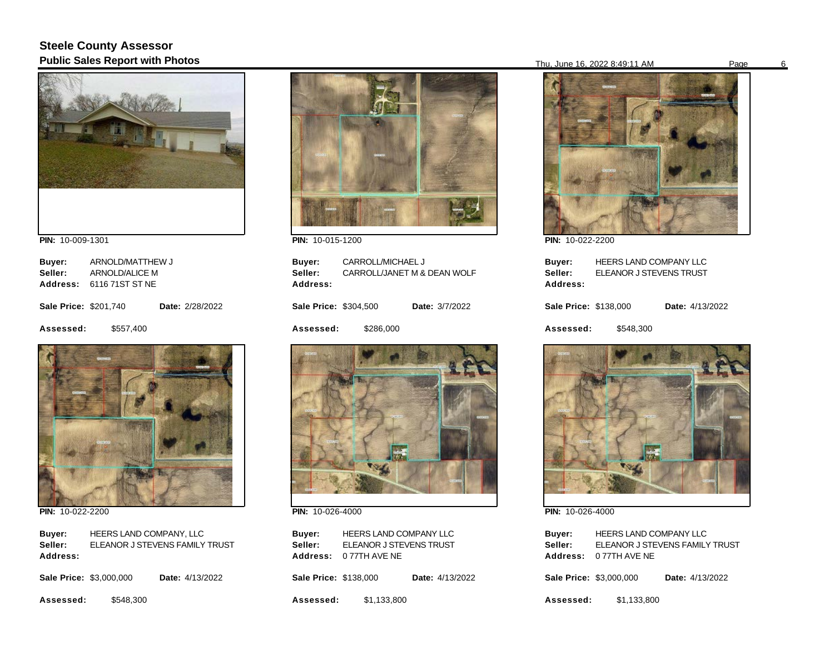## **Steele County Assessor Public Sales Report with Photos** 6



**PIN:**  10-009-1301

| Buyer:                       | ARNOLD/MATTHEW J         |                        |
|------------------------------|--------------------------|------------------------|
| Seller:                      | ARNOLD/ALICE M           |                        |
|                              | Address: 6116 71ST ST NE |                        |
| <b>Sale Price: \$201.740</b> |                          | <b>Date: 2/28/2022</b> |
| Assessed:                    | \$557,400                |                        |



**PIN:**  10-022-2200

**Buyer: Address:**  HEERS LAND COMPANY, LLC **Seller:** ELEANOR J STEVENS FAMILY TRUST

| <b>Sale Price: \$3,000,000</b> |           | <b>Date:</b> 4/13/2022 |  |
|--------------------------------|-----------|------------------------|--|
| Assessed:                      | \$548,300 |                        |  |



**PIN:**  10-015-1200

| Buyer:<br>Seller:<br>Address: | CARROLL/MICHAEL J | CARROLL/JANET M & DEAN WOLF |
|-------------------------------|-------------------|-----------------------------|
| Sale Price: \$304,500         |                   | Date: 3/7/2022              |
| Assessed:                     | \$286,000         |                             |



**PIN:**  10-026-4000

| Buyer:          | <b>HEERS LAND COMPANY LLC</b> |
|-----------------|-------------------------------|
| Seller:         | ELEANOR J STEVENS TRUST       |
| <b>Address:</b> | 0 77TH AVE NE                 |

**Sale Price: \$138,000** Date: 4/13/2022

**Assessed:**  \$1,133,800



**PIN:**  10-022-2200

| Buver:<br>Seller:<br>Address: | <b>HEERS LAND COMPANY LLC</b><br>ELEANOR J STEVENS TRUST |                 |
|-------------------------------|----------------------------------------------------------|-----------------|
| Sale Price: \$138,000         |                                                          | Date: 4/13/2022 |
| <b>Assessed:</b>              | \$548.300                                                |                 |



**PIN:**  10-026-4000

| Buyer:   | <b>HEERS LAND COMPANY LLC</b>  |
|----------|--------------------------------|
| Seller:  | ELEANOR J STEVENS FAMILY TRUST |
| Address: | 0 77TH AVE NE                  |

| <b>Sale Price: \$3,000,000</b><br><b>Date:</b> 4/13/2022 |
|----------------------------------------------------------|
|----------------------------------------------------------|

**Assessed:**  \$1,133,800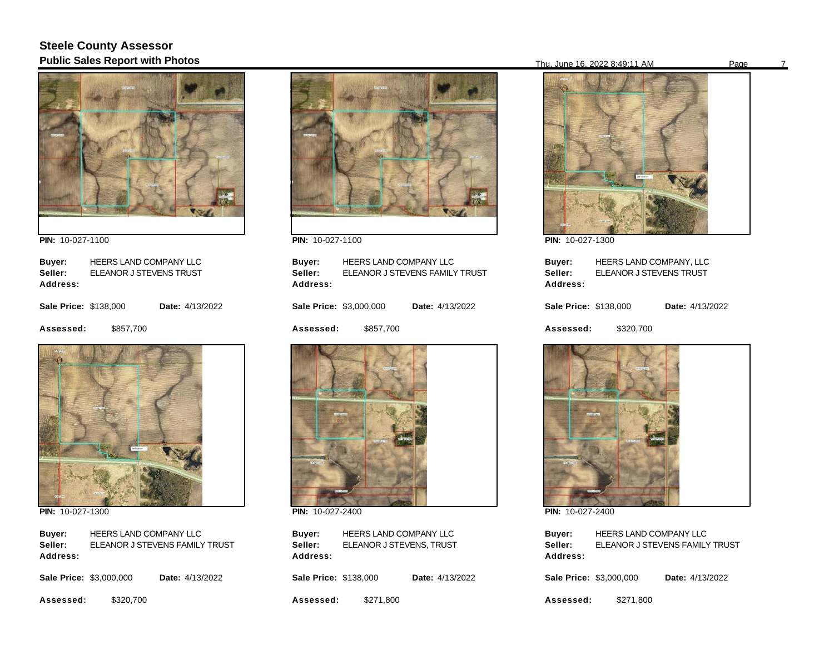## **Steele County Assessor Public Sales Report with Photos** Page 7 and 2022 8:49:11 AM Page 7 and 2022 8:49:11 AM Page 7 and Page 7 and Page



**PIN:**  10-027-1100

| Buyer:<br>Seller:<br>Address: | HEERS LAND COMPANY LLC<br>ELEANOR J STEVENS TRUST |                 |
|-------------------------------|---------------------------------------------------|-----------------|
| <b>Sale Price: \$138,000</b>  |                                                   | Date: 4/13/2022 |
| Assessed:                     | \$857,700                                         |                 |
| <b>STATE</b>                  |                                                   |                 |



**PIN:**  10-027-1300

**Buyer: Address:**  HEERS LAND COMPANY LLC **Seller:** ELEANOR J STEVENS FAMILY TRUST

| <b>Sale Price: \$3,000,000</b> |         | <b>Date:</b> 4/13/2022 |
|--------------------------------|---------|------------------------|
|                                | ------- |                        |

**Assessed:**  \$320,700



**PIN:**  10-027-1100

| Buyer:<br>Seller:              | <b>HEERS LAND COMPANY LLC</b><br>ELEANOR J STEVENS FAMILY TRUST |                        |  |
|--------------------------------|-----------------------------------------------------------------|------------------------|--|
| Address:                       |                                                                 |                        |  |
| <b>Sale Price: \$3,000,000</b> |                                                                 | <b>Date:</b> 4/13/2022 |  |

**Assessed:**  \$857,700



**PIN:**  10-027-2400

**Buyer: Address:**  HEERS LAND COMPANY LLC **Seller:** ELEANOR J STEVENS, TRUST

**Sale Price: \$138,000** Date: 4/13/2022

**Assessed:**  \$271,800



**PIN:**  10-027-1300

| Buver:<br>Seller:<br>Address: | HEERS LAND COMPANY, LLC<br>ELEANOR J STEVENS TRUST |  |                 |
|-------------------------------|----------------------------------------------------|--|-----------------|
| Sale Price: \$138,000         |                                                    |  | Date: 4/13/2022 |
| <b>Assessed:</b>              | \$320,700                                          |  |                 |



**PIN:**  10-027-2400

| Buver:   | <b>HEERS LAND COMPANY LLC</b>  |
|----------|--------------------------------|
| Seller:  | ELEANOR J STEVENS FAMILY TRUST |
| Address: |                                |

|  | <b>Sale Price: \$3,000,000</b> |  | Date: 4/13/2022 |
|--|--------------------------------|--|-----------------|
|--|--------------------------------|--|-----------------|

**Assessed:**  \$271,800